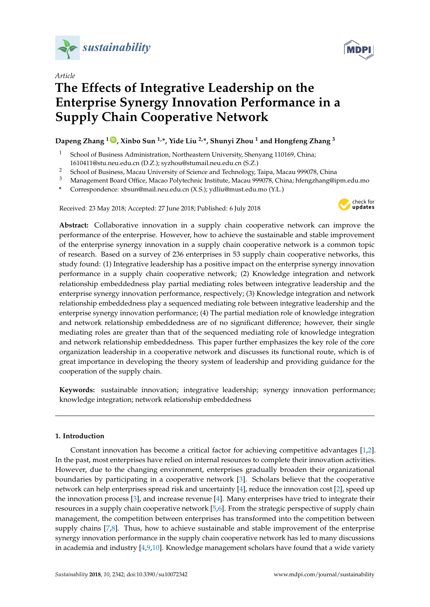

*Article*

# **The Effects of Integrative Leadership on the Enterprise Synergy Innovation Performance in a Supply Chain Cooperative Network**

## **Dapeng Zhang <sup>1</sup> [ID](https://orcid.org/0000-0003-4229-1654) , Xinbo Sun 1,\*, Yide Liu 2,\*, Shunyi Zhou <sup>1</sup> and Hongfeng Zhang <sup>3</sup>**

- <sup>1</sup> School of Business Administration, Northeastern University, Shenyang 110169, China; 1610411@stu.neu.edu.cn (D.Z.); syzhou@stumail.neu.edu.cn (S.Z.)
- <sup>2</sup> School of Business, Macau University of Science and Technology, Taipa, Macau 999078, China
- <sup>3</sup> Management Board Office, Macao Polytechnic Institute, Macau 999078, China; hfengzhang@ipm.edu.mo
- **\*** Correspondence: xbsun@mail.neu.edu.cn (X.S.); ydliu@must.edu.mo (Y.L.)

Received: 23 May 2018; Accepted: 27 June 2018; Published: 6 July 2018



**Abstract:** Collaborative innovation in a supply chain cooperative network can improve the performance of the enterprise. However, how to achieve the sustainable and stable improvement of the enterprise synergy innovation in a supply chain cooperative network is a common topic of research. Based on a survey of 236 enterprises in 53 supply chain cooperative networks, this study found: (1) Integrative leadership has a positive impact on the enterprise synergy innovation performance in a supply chain cooperative network; (2) Knowledge integration and network relationship embeddedness play partial mediating roles between integrative leadership and the enterprise synergy innovation performance, respectively; (3) Knowledge integration and network relationship embeddedness play a sequenced mediating role between integrative leadership and the enterprise synergy innovation performance; (4) The partial mediation role of knowledge integration and network relationship embeddedness are of no significant difference; however, their single mediating roles are greater than that of the sequenced mediating role of knowledge integration and network relationship embeddedness. This paper further emphasizes the key role of the core organization leadership in a cooperative network and discusses its functional route, which is of great importance in developing the theory system of leadership and providing guidance for the cooperation of the supply chain.

**Keywords:** sustainable innovation; integrative leadership; synergy innovation performance; knowledge integration; network relationship embeddedness

## **1. Introduction**

Constant innovation has become a critical factor for achieving competitive advantages [\[1,](#page-16-0)[2\]](#page-16-1). In the past, most enterprises have relied on internal resources to complete their innovation activities. However, due to the changing environment, enterprises gradually broaden their organizational boundaries by participating in a cooperative network [\[3\]](#page-16-2). Scholars believe that the cooperative network can help enterprises spread risk and uncertainty [\[4\]](#page-16-3), reduce the innovation cost [\[2\]](#page-16-1), speed up the innovation process [\[3\]](#page-16-2), and increase revenue [\[4\]](#page-16-3). Many enterprises have tried to integrate their resources in a supply chain cooperative network [\[5,](#page-16-4)[6\]](#page-17-0). From the strategic perspective of supply chain management, the competition between enterprises has transformed into the competition between supply chains [\[7,](#page-17-1)[8\]](#page-17-2). Thus, how to achieve sustainable and stable improvement of the enterprise synergy innovation performance in the supply chain cooperative network has led to many discussions in academia and industry  $[4,9,10]$  $[4,9,10]$  $[4,9,10]$ . Knowledge management scholars have found that a wide variety

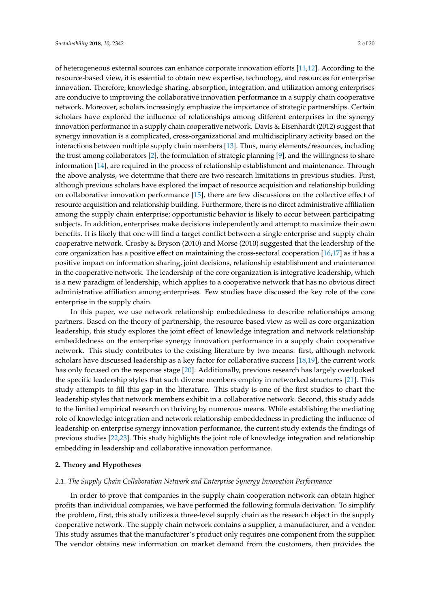of heterogeneous external sources can enhance corporate innovation efforts [\[11,](#page-17-5)[12\]](#page-17-6). According to the resource-based view, it is essential to obtain new expertise, technology, and resources for enterprise innovation. Therefore, knowledge sharing, absorption, integration, and utilization among enterprises are conducive to improving the collaborative innovation performance in a supply chain cooperative network. Moreover, scholars increasingly emphasize the importance of strategic partnerships. Certain scholars have explored the influence of relationships among different enterprises in the synergy innovation performance in a supply chain cooperative network. Davis & Eisenhardt (2012) suggest that synergy innovation is a complicated, cross-organizational and multidisciplinary activity based on the interactions between multiple supply chain members [\[13\]](#page-17-7). Thus, many elements/resources, including the trust among collaborators [\[2\]](#page-16-1), the formulation of strategic planning [\[9\]](#page-17-3), and the willingness to share information [\[14\]](#page-17-8), are required in the process of relationship establishment and maintenance. Through the above analysis, we determine that there are two research limitations in previous studies. First, although previous scholars have explored the impact of resource acquisition and relationship building on collaborative innovation performance [\[15\]](#page-17-9), there are few discussions on the collective effect of resource acquisition and relationship building. Furthermore, there is no direct administrative affiliation among the supply chain enterprise; opportunistic behavior is likely to occur between participating subjects. In addition, enterprises make decisions independently and attempt to maximize their own benefits. It is likely that one will find a target conflict between a single enterprise and supply chain cooperative network. Crosby & Bryson (2010) and Morse (2010) suggested that the leadership of the core organization has a positive effect on maintaining the cross-sectoral cooperation [\[16](#page-17-10)[,17\]](#page-17-11) as it has a positive impact on information sharing, joint decisions, relationship establishment and maintenance in the cooperative network. The leadership of the core organization is integrative leadership, which is a new paradigm of leadership, which applies to a cooperative network that has no obvious direct administrative affiliation among enterprises. Few studies have discussed the key role of the core enterprise in the supply chain.

In this paper, we use network relationship embeddedness to describe relationships among partners. Based on the theory of partnership, the resource-based view as well as core organization leadership, this study explores the joint effect of knowledge integration and network relationship embeddedness on the enterprise synergy innovation performance in a supply chain cooperative network. This study contributes to the existing literature by two means: first, although network scholars have discussed leadership as a key factor for collaborative success [\[18,](#page-17-12)[19\]](#page-17-13), the current work has only focused on the response stage [\[20\]](#page-17-14). Additionally, previous research has largely overlooked the specific leadership styles that such diverse members employ in networked structures [\[21\]](#page-17-15). This study attempts to fill this gap in the literature. This study is one of the first studies to chart the leadership styles that network members exhibit in a collaborative network. Second, this study adds to the limited empirical research on thriving by numerous means. While establishing the mediating role of knowledge integration and network relationship embeddedness in predicting the influence of leadership on enterprise synergy innovation performance, the current study extends the findings of previous studies [\[22](#page-17-16)[,23\]](#page-17-17). This study highlights the joint role of knowledge integration and relationship embedding in leadership and collaborative innovation performance.

#### **2. Theory and Hypotheses**

#### *2.1. The Supply Chain Collaboration Network and Enterprise Synergy Innovation Performance*

In order to prove that companies in the supply chain cooperation network can obtain higher profits than individual companies, we have performed the following formula derivation. To simplify the problem, first, this study utilizes a three-level supply chain as the research object in the supply cooperative network. The supply chain network contains a supplier, a manufacturer, and a vendor. This study assumes that the manufacturer's product only requires one component from the supplier. The vendor obtains new information on market demand from the customers, then provides the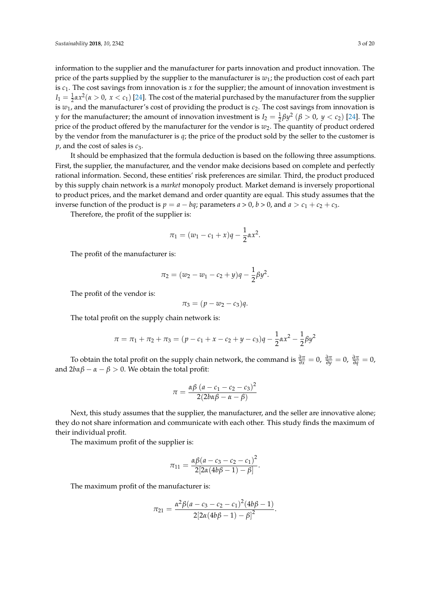information to the supplier and the manufacturer for parts innovation and product innovation. The price of the parts supplied by the supplier to the manufacturer is  $w_1$ ; the production cost of each part is *c*1. The cost savings from innovation is *x* for the supplier; the amount of innovation investment is  $I_1 = \frac{1}{2}\alpha x^2 (\alpha > 0, x < c_1)$  [\[24\]](#page-17-18). The cost of the material purchased by the manufacturer from the supplier is  $w_1$ , and the manufacturer's cost of providing the product is  $c_2$ . The cost savings from innovation is y for the manufacturer; the amount of innovation investment is  $I_2 = \frac{1}{2}\beta y^2$  ( $\beta > 0$ ,  $y < c_2$ ) [\[24\]](#page-17-18). The price of the product offered by the manufacturer for the vendor is  $w_2$ . The quantity of product ordered by the vendor from the manufacturer is *q*; the price of the product sold by the seller to the customer is *, and the cost of sales is*  $*c*$ *<sub>3</sub>.* 

It should be emphasized that the formula deduction is based on the following three assumptions. First, the supplier, the manufacturer, and the vendor make decisions based on complete and perfectly rational information. Second, these entities' risk preferences are similar. Third, the product produced by this supply chain network is a *market* monopoly product. Market demand is inversely proportional to product prices, and the market demand and order quantity are equal. This study assumes that the inverse function of the product is  $p = a - bq$ ; parameters  $a > 0$ ,  $b > 0$ , and  $a > c_1 + c_2 + c_3$ .

Therefore, the profit of the supplier is:

$$
\pi_1 = (w_1 - c_1 + x)q - \frac{1}{2}ax^2.
$$

The profit of the manufacturer is:

$$
\pi_2 = (w_2 - w_1 - c_2 + y)q - \frac{1}{2}\beta y^2.
$$

The profit of the vendor is:

$$
\pi_3=(p-w_2-c_3)q.
$$

The total profit on the supply chain network is:

$$
\pi = \pi_1 + \pi_2 + \pi_3 = (p - c_1 + x - c_2 + y - c_3)q - \frac{1}{2}ax^2 - \frac{1}{2}\beta y^2
$$

To obtain the total profit on the supply chain network, the command is  $\frac{\partial \pi}{\partial x} = 0$ ,  $\frac{\partial \pi}{\partial y} = 0$ ,  $\frac{\partial \pi}{\partial q} = 0$ , and  $2b\alpha\beta - \alpha - \beta > 0$ . We obtain the total profit:

$$
\pi = \frac{\alpha \beta (a - c_1 - c_2 - c_3)^2}{2(2b\alpha \beta - \alpha - \beta)}
$$

Next, this study assumes that the supplier, the manufacturer, and the seller are innovative alone; they do not share information and communicate with each other. This study finds the maximum of their individual profit.

The maximum profit of the supplier is:

$$
\pi_{11} = \frac{\alpha \beta (a - c_3 - c_2 - c_1)^2}{2[2\alpha (4b\beta - 1) - \beta]}.
$$

The maximum profit of the manufacturer is:

$$
\pi_{21} = \frac{\alpha^2 \beta (a - c_3 - c_2 - c_1)^2 (4b\beta - 1)}{2[2\alpha (4b\beta - 1) - \beta]^2}.
$$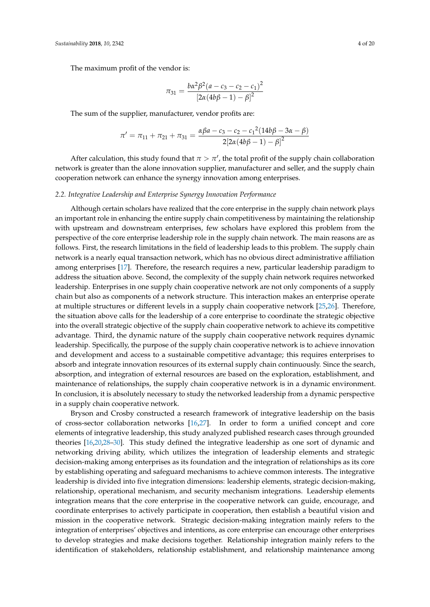The maximum profit of the vendor is:

$$
\pi_{31} = \frac{b\alpha^2\beta^2(a - c_3 - c_2 - c_1)^2}{[2\alpha(4b\beta - 1) - \beta]^2}
$$

The sum of the supplier, manufacturer, vendor profits are:

$$
\pi' = \pi_{11} + \pi_{21} + \pi_{31} = \frac{\alpha \beta a - c_3 - c_2 - c_1^2 (14b\beta - 3\alpha - \beta)}{2[2\alpha(4b\beta - 1) - \beta]^2}
$$

After calculation, this study found that  $\pi > \pi'$ , the total profit of the supply chain collaboration network is greater than the alone innovation supplier, manufacturer and seller, and the supply chain cooperation network can enhance the synergy innovation among enterprises.

#### *2.2. Integrative Leadership and Enterprise Synergy Innovation Performance*

Although certain scholars have realized that the core enterprise in the supply chain network plays an important role in enhancing the entire supply chain competitiveness by maintaining the relationship with upstream and downstream enterprises, few scholars have explored this problem from the perspective of the core enterprise leadership role in the supply chain network. The main reasons are as follows. First, the research limitations in the field of leadership leads to this problem. The supply chain network is a nearly equal transaction network, which has no obvious direct administrative affiliation among enterprises [\[17\]](#page-17-11). Therefore, the research requires a new, particular leadership paradigm to address the situation above. Second, the complexity of the supply chain network requires networked leadership. Enterprises in one supply chain cooperative network are not only components of a supply chain but also as components of a network structure. This interaction makes an enterprise operate at multiple structures or different levels in a supply chain cooperative network [\[25,](#page-17-19)[26\]](#page-17-20). Therefore, the situation above calls for the leadership of a core enterprise to coordinate the strategic objective into the overall strategic objective of the supply chain cooperative network to achieve its competitive advantage. Third, the dynamic nature of the supply chain cooperative network requires dynamic leadership. Specifically, the purpose of the supply chain cooperative network is to achieve innovation and development and access to a sustainable competitive advantage; this requires enterprises to absorb and integrate innovation resources of its external supply chain continuously. Since the search, absorption, and integration of external resources are based on the exploration, establishment, and maintenance of relationships, the supply chain cooperative network is in a dynamic environment. In conclusion, it is absolutely necessary to study the networked leadership from a dynamic perspective in a supply chain cooperative network.

Bryson and Crosby constructed a research framework of integrative leadership on the basis of cross-sector collaboration networks [\[16,](#page-17-10)[27\]](#page-17-21). In order to form a unified concept and core elements of integrative leadership, this study analyzed published research cases through grounded theories [\[16,](#page-17-10)[20,](#page-17-14)[28–](#page-17-22)[30\]](#page-17-23). This study defined the integrative leadership as one sort of dynamic and networking driving ability, which utilizes the integration of leadership elements and strategic decision-making among enterprises as its foundation and the integration of relationships as its core by establishing operating and safeguard mechanisms to achieve common interests. The integrative leadership is divided into five integration dimensions: leadership elements, strategic decision-making, relationship, operational mechanism, and security mechanism integrations. Leadership elements integration means that the core enterprise in the cooperative network can guide, encourage, and coordinate enterprises to actively participate in cooperation, then establish a beautiful vision and mission in the cooperative network. Strategic decision-making integration mainly refers to the integration of enterprises' objectives and intentions, as core enterprise can encourage other enterprises to develop strategies and make decisions together. Relationship integration mainly refers to the identification of stakeholders, relationship establishment, and relationship maintenance among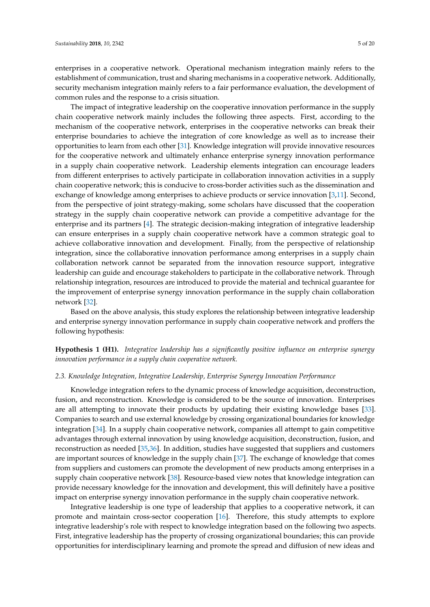enterprises in a cooperative network. Operational mechanism integration mainly refers to the establishment of communication, trust and sharing mechanisms in a cooperative network. Additionally, security mechanism integration mainly refers to a fair performance evaluation, the development of common rules and the response to a crisis situation.

The impact of integrative leadership on the cooperative innovation performance in the supply chain cooperative network mainly includes the following three aspects. First, according to the mechanism of the cooperative network, enterprises in the cooperative networks can break their enterprise boundaries to achieve the integration of core knowledge as well as to increase their opportunities to learn from each other [\[31\]](#page-17-24). Knowledge integration will provide innovative resources for the cooperative network and ultimately enhance enterprise synergy innovation performance in a supply chain cooperative network. Leadership elements integration can encourage leaders from different enterprises to actively participate in collaboration innovation activities in a supply chain cooperative network; this is conducive to cross-border activities such as the dissemination and exchange of knowledge among enterprises to achieve products or service innovation [\[3](#page-16-2)[,11\]](#page-17-5). Second, from the perspective of joint strategy-making, some scholars have discussed that the cooperation strategy in the supply chain cooperative network can provide a competitive advantage for the enterprise and its partners [\[4\]](#page-16-3). The strategic decision-making integration of integrative leadership can ensure enterprises in a supply chain cooperative network have a common strategic goal to achieve collaborative innovation and development. Finally, from the perspective of relationship integration, since the collaborative innovation performance among enterprises in a supply chain collaboration network cannot be separated from the innovation resource support, integrative leadership can guide and encourage stakeholders to participate in the collaborative network. Through relationship integration, resources are introduced to provide the material and technical guarantee for the improvement of enterprise synergy innovation performance in the supply chain collaboration network [\[32\]](#page-18-0).

Based on the above analysis, this study explores the relationship between integrative leadership and enterprise synergy innovation performance in supply chain cooperative network and proffers the following hypothesis:

**Hypothesis 1 (H1).** *Integrative leadership has a significantly positive influence on enterprise synergy innovation performance in a supply chain cooperative network.*

#### *2.3. Knowledge Integration, Integrative Leadership, Enterprise Synergy Innovation Performance*

Knowledge integration refers to the dynamic process of knowledge acquisition, deconstruction, fusion, and reconstruction. Knowledge is considered to be the source of innovation. Enterprises are all attempting to innovate their products by updating their existing knowledge bases [\[33\]](#page-18-1). Companies to search and use external knowledge by crossing organizational boundaries for knowledge integration [\[34\]](#page-18-2). In a supply chain cooperative network, companies all attempt to gain competitive advantages through external innovation by using knowledge acquisition, deconstruction, fusion, and reconstruction as needed [\[35,](#page-18-3)[36\]](#page-18-4). In addition, studies have suggested that suppliers and customers are important sources of knowledge in the supply chain [\[37\]](#page-18-5). The exchange of knowledge that comes from suppliers and customers can promote the development of new products among enterprises in a supply chain cooperative network [\[38\]](#page-18-6). Resource-based view notes that knowledge integration can provide necessary knowledge for the innovation and development, this will definitely have a positive impact on enterprise synergy innovation performance in the supply chain cooperative network.

Integrative leadership is one type of leadership that applies to a cooperative network, it can promote and maintain cross-sector cooperation [\[16\]](#page-17-10). Therefore, this study attempts to explore integrative leadership's role with respect to knowledge integration based on the following two aspects. First, integrative leadership has the property of crossing organizational boundaries; this can provide opportunities for interdisciplinary learning and promote the spread and diffusion of new ideas and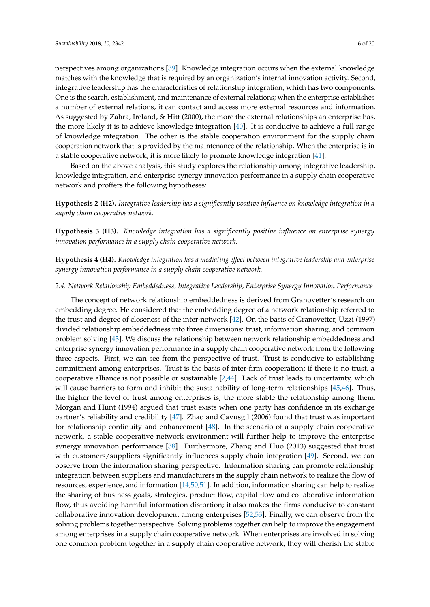perspectives among organizations [\[39\]](#page-18-7). Knowledge integration occurs when the external knowledge matches with the knowledge that is required by an organization's internal innovation activity. Second, integrative leadership has the characteristics of relationship integration, which has two components. One is the search, establishment, and maintenance of external relations; when the enterprise establishes a number of external relations, it can contact and access more external resources and information. As suggested by Zahra, Ireland, & Hitt (2000), the more the external relationships an enterprise has, the more likely it is to achieve knowledge integration [\[40\]](#page-18-8). It is conducive to achieve a full range of knowledge integration. The other is the stable cooperation environment for the supply chain cooperation network that is provided by the maintenance of the relationship. When the enterprise is in a stable cooperative network, it is more likely to promote knowledge integration [\[41\]](#page-18-9).

Based on the above analysis, this study explores the relationship among integrative leadership, knowledge integration, and enterprise synergy innovation performance in a supply chain cooperative network and proffers the following hypotheses:

**Hypothesis 2 (H2).** *Integrative leadership has a significantly positive influence on knowledge integration in a supply chain cooperative network.*

**Hypothesis 3 (H3).** *Knowledge integration has a significantly positive influence on enterprise synergy innovation performance in a supply chain cooperative network.*

**Hypothesis 4 (H4).** *Knowledge integration has a mediating effect between integrative leadership and enterprise synergy innovation performance in a supply chain cooperative network.*

### *2.4. Network Relationship Embeddedness, Integrative Leadership, Enterprise Synergy Innovation Performance*

The concept of network relationship embeddedness is derived from Granovetter's research on embedding degree. He considered that the embedding degree of a network relationship referred to the trust and degree of closeness of the inter-network [\[42\]](#page-18-10). On the basis of Granovetter, Uzzi (1997) divided relationship embeddedness into three dimensions: trust, information sharing, and common problem solving [\[43\]](#page-18-11). We discuss the relationship between network relationship embeddedness and enterprise synergy innovation performance in a supply chain cooperative network from the following three aspects. First, we can see from the perspective of trust. Trust is conducive to establishing commitment among enterprises. Trust is the basis of inter-firm cooperation; if there is no trust, a cooperative alliance is not possible or sustainable [\[2,](#page-16-1)[44\]](#page-18-12). Lack of trust leads to uncertainty, which will cause barriers to form and inhibit the sustainability of long-term relationships [\[45](#page-18-13)[,46\]](#page-18-14). Thus, the higher the level of trust among enterprises is, the more stable the relationship among them. Morgan and Hunt (1994) argued that trust exists when one party has confidence in its exchange partner's reliability and credibility [\[47\]](#page-18-15). Zhao and Cavusgil (2006) found that trust was important for relationship continuity and enhancement [\[48\]](#page-18-16). In the scenario of a supply chain cooperative network, a stable cooperative network environment will further help to improve the enterprise synergy innovation performance [\[38\]](#page-18-6). Furthermore, Zhang and Huo (2013) suggested that trust with customers/suppliers significantly influences supply chain integration [\[49\]](#page-18-17). Second, we can observe from the information sharing perspective. Information sharing can promote relationship integration between suppliers and manufacturers in the supply chain network to realize the flow of resources, experience, and information [\[14](#page-17-8)[,50,](#page-18-18)[51\]](#page-18-19). In addition, information sharing can help to realize the sharing of business goals, strategies, product flow, capital flow and collaborative information flow, thus avoiding harmful information distortion; it also makes the firms conducive to constant collaborative innovation development among enterprises [\[52,](#page-18-20)[53\]](#page-18-21). Finally, we can observe from the solving problems together perspective. Solving problems together can help to improve the engagement among enterprises in a supply chain cooperative network. When enterprises are involved in solving one common problem together in a supply chain cooperative network, they will cherish the stable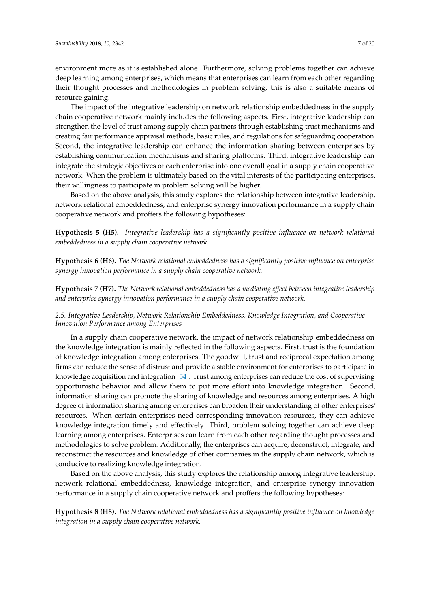environment more as it is established alone. Furthermore, solving problems together can achieve deep learning among enterprises, which means that enterprises can learn from each other regarding their thought processes and methodologies in problem solving; this is also a suitable means of resource gaining.

The impact of the integrative leadership on network relationship embeddedness in the supply chain cooperative network mainly includes the following aspects. First, integrative leadership can strengthen the level of trust among supply chain partners through establishing trust mechanisms and creating fair performance appraisal methods, basic rules, and regulations for safeguarding cooperation. Second, the integrative leadership can enhance the information sharing between enterprises by establishing communication mechanisms and sharing platforms. Third, integrative leadership can integrate the strategic objectives of each enterprise into one overall goal in a supply chain cooperative network. When the problem is ultimately based on the vital interests of the participating enterprises, their willingness to participate in problem solving will be higher.

Based on the above analysis, this study explores the relationship between integrative leadership, network relational embeddedness, and enterprise synergy innovation performance in a supply chain cooperative network and proffers the following hypotheses:

**Hypothesis 5 (H5).** *Integrative leadership has a significantly positive influence on network relational embeddedness in a supply chain cooperative network.*

**Hypothesis 6 (H6).** *The Network relational embeddedness has a significantly positive influence on enterprise synergy innovation performance in a supply chain cooperative network.*

**Hypothesis 7 (H7).** *The Network relational embeddedness has a mediating effect between integrative leadership and enterprise synergy innovation performance in a supply chain cooperative network.*

*2.5. Integrative Leadership, Network Relationship Embeddedness, Knowledge Integration, and Cooperative Innovation Performance among Enterprises*

In a supply chain cooperative network, the impact of network relationship embeddedness on the knowledge integration is mainly reflected in the following aspects. First, trust is the foundation of knowledge integration among enterprises. The goodwill, trust and reciprocal expectation among firms can reduce the sense of distrust and provide a stable environment for enterprises to participate in knowledge acquisition and integration [\[54\]](#page-18-22). Trust among enterprises can reduce the cost of supervising opportunistic behavior and allow them to put more effort into knowledge integration. Second, information sharing can promote the sharing of knowledge and resources among enterprises. A high degree of information sharing among enterprises can broaden their understanding of other enterprises' resources. When certain enterprises need corresponding innovation resources, they can achieve knowledge integration timely and effectively. Third, problem solving together can achieve deep learning among enterprises. Enterprises can learn from each other regarding thought processes and methodologies to solve problem. Additionally, the enterprises can acquire, deconstruct, integrate, and reconstruct the resources and knowledge of other companies in the supply chain network, which is conducive to realizing knowledge integration.

Based on the above analysis, this study explores the relationship among integrative leadership, network relational embeddedness, knowledge integration, and enterprise synergy innovation performance in a supply chain cooperative network and proffers the following hypotheses:

**Hypothesis 8 (H8).** *The Network relational embeddedness has a significantly positive influence on knowledge integration in a supply chain cooperative network.*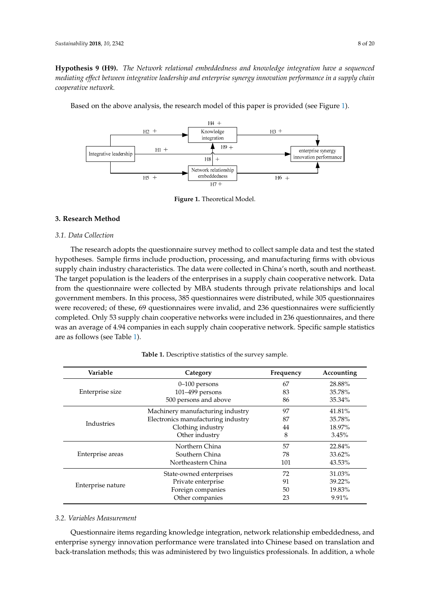**Hypothesis 9 (H9).** *The Network relational embeddedness and knowledge integration have a sequenced* **Hypothesis 9 (H9).** *The Network relational embeddedness and knowledge integration have a sequenced*  .<br>mediating effect between integrative leadership and enterprise synergy innovation performance in a supply chain *cooperative network. chain cooperative network.* 

<span id="page-7-0"></span>Based on the above analysis, the research model of this paper is provided (see Figure [1\)](#page-7-0). Based on the above analysis, the research model of this paper is provided (see Figure 1).



**Figure 1.** Theoretical Model. **Figure 1.** Theoretical Model.

## **3. Research Method**

### *3.1. Data Collection*

The research adopts the questionnaire survey method to collect sample data and test the stated hypotheses. Sample firms include production, processing, and manufacturing firms with obvious supply chain industry characteristics. The data were collected in China's north, south and northeast. The target population is the leaders of the enterprises in a supply chain cooperative network. Data from the questionnaire were collected by MBA students through private relationships and local government members. In this process, 385 questionnaires were distributed, while 305 questionnaires were recovered; of these, 69 questionnaires were invalid, and 236 questionnaires were sufficiently completed. Only 53 supply chain cooperative networks were included in 236 questionnaires, and there was an average of 4.94 companies in each supply chain cooperative network. Specific sample statistics are as follows (see Table [1\)](#page-7-1).

<span id="page-7-1"></span>

| Variable          | Category                           | Frequency | Accounting |
|-------------------|------------------------------------|-----------|------------|
|                   | $0-100$ persons                    | 67        | 28.88%     |
| Enterprise size   | 101-499 persons                    | 83        | 35.78%     |
|                   | 500 persons and above              | 86        | 35.34%     |
|                   | Machinery manufacturing industry   | 97        | 41.81%     |
| Industries        | Electronics manufacturing industry | 87        | 35.78%     |
|                   | Clothing industry                  | 44        | 18.97%     |
|                   | Other industry                     | 8         | 3.45%      |
|                   | Northern China                     | 57        | 22.84%     |
| Enterprise areas  | Southern China                     | 78        | 33.62%     |
|                   | Northeastern China                 | 101       | 43.53%     |
|                   | State-owned enterprises            | 72        | 31.03%     |
| Enterprise nature | Private enterprise                 | 91        | 39.22%     |
|                   | Foreign companies                  | 50        | 19.83%     |
|                   | Other companies                    | 23        | $9.91\%$   |

**Table 1.** Descriptive statistics of the survey sample.

## *3.2. Variables Measurement*

Questionnaire items regarding knowledge integration, network relationship embeddedness, and enterprise synergy innovation performance were translated into Chinese based on translation and back-translation methods; this was administered by two linguistics professionals. In addition, a whole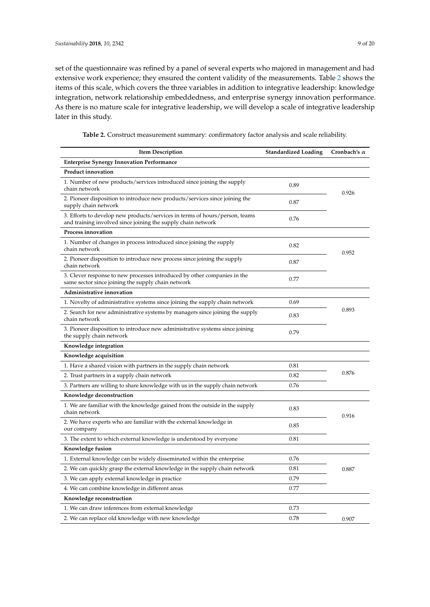set of the questionnaire was refined by a panel of several experts who majored in management and had extensive work experience; they ensured the content validity of the measurements. Table [2](#page-9-0) shows the items of this scale, which covers the three variables in addition to integrative leadership: knowledge integration, network relationship embeddedness, and enterprise synergy innovation performance. As there is no mature scale for integrative leadership, we will develop a scale of integrative leadership later in this study.

| <b>Item Description</b>                                                                                                                     | <b>Standardized Loading</b> | Cronbach's $\alpha$ |
|---------------------------------------------------------------------------------------------------------------------------------------------|-----------------------------|---------------------|
| <b>Enterprise Synergy Innovation Performance</b>                                                                                            |                             |                     |
| <b>Product innovation</b>                                                                                                                   |                             |                     |
| 1. Number of new products/services introduced since joining the supply<br>chain network                                                     | 0.89                        | 0.926               |
| 2. Pioneer disposition to introduce new products/services since joining the<br>supply chain network                                         | 0.87                        |                     |
| 3. Efforts to develop new products/services in terms of hours/person, teams<br>and training involved since joining the supply chain network | 0.76                        |                     |
| Process innovation                                                                                                                          |                             |                     |
| 1. Number of changes in process introduced since joining the supply<br>chain network                                                        | 0.82                        | 0.952               |
| 2. Pioneer disposition to introduce new process since joining the supply<br>chain network                                                   | 0.87                        |                     |
| 3. Clever response to new processes introduced by other companies in the<br>same sector since joining the supply chain network              | 0.77                        |                     |
| Administrative innovation                                                                                                                   |                             |                     |
| 1. Novelty of administrative systems since joining the supply chain network                                                                 | 0.69                        |                     |
| 2. Search for new administrative systems by managers since joining the supply<br>chain network                                              | 0.83                        | 0.893               |
| 3. Pioneer disposition to introduce new administrative systems since joining<br>the supply chain network                                    | 0.79                        |                     |
| Knowledge integration                                                                                                                       |                             |                     |
| Knowledge acquisition                                                                                                                       |                             |                     |
| 1. Have a shared vision with partners in the supply chain network                                                                           | 0.81                        |                     |
| 2. Trust partners in a supply chain network                                                                                                 | 0.82                        | 0.876               |
| 3. Partners are willing to share knowledge with us in the supply chain network                                                              | 0.76                        |                     |
| Knowledge deconstruction                                                                                                                    |                             |                     |
| 1. We are familiar with the knowledge gained from the outside in the supply<br>chain network                                                | 0.83                        | 0.916               |
| 2. We have experts who are familiar with the external knowledge in<br>our company                                                           | 0.85                        |                     |
| 3. The extent to which external knowledge is understood by everyone                                                                         | 0.81                        |                     |
| Knowledge fusion                                                                                                                            |                             |                     |
| 1. External knowledge can be widely disseminated within the enterprise                                                                      | 0.76                        |                     |
| 2. We can quickly grasp the external knowledge in the supply chain network                                                                  | 0.81                        | 0.887               |
| 3. We can apply external knowledge in practice                                                                                              | 0.79                        |                     |
| 4. We can combine knowledge in different areas                                                                                              | 0.77                        |                     |
| Knowledge reconstruction                                                                                                                    |                             |                     |
| 1. We can draw inferences from external knowledge                                                                                           | 0.73                        |                     |
| 2. We can replace old knowledge with new knowledge                                                                                          | 0.78                        | 0.907               |

**Table 2.** Construct measurement summary: confirmatory factor analysis and scale reliability.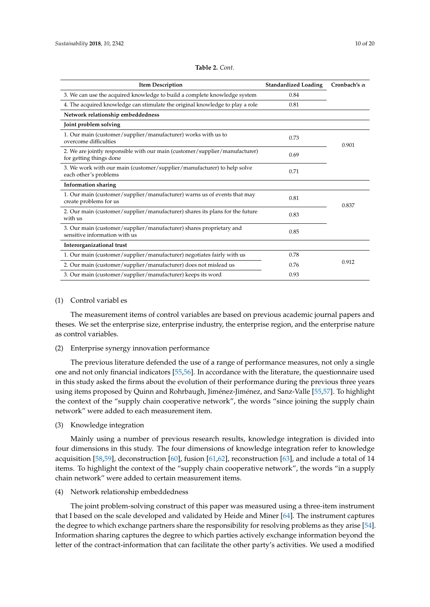<span id="page-9-0"></span>

| <b>Item Description</b>                                                                                 | <b>Standardized Loading</b> | Cronbach's $\alpha$ |
|---------------------------------------------------------------------------------------------------------|-----------------------------|---------------------|
| 3. We can use the acquired knowledge to build a complete knowledge system                               | 0.84                        |                     |
| 4. The acquired knowledge can stimulate the original knowledge to play a role                           | 0.81                        |                     |
| Network relationship embeddedness                                                                       |                             |                     |
| Joint problem solving                                                                                   |                             |                     |
| 1. Our main (customer/supplier/manufacturer) works with us to<br>overcome difficulties                  | 0.73                        | 0.901               |
| 2. We are jointly responsible with our main (customer/supplier/manufacturer)<br>for getting things done | 0.69                        |                     |
| 3. We work with our main (customer/supplier/manufacturer) to help solve<br>each other's problems        | 0.71                        |                     |
| <b>Information sharing</b>                                                                              |                             |                     |
| 1. Our main (customer/supplier/manufacturer) warns us of events that may<br>create problems for us      | 0.81                        | 0.837               |
| 2. Our main (customer/supplier/manufacturer) shares its plans for the future<br>with us                 | 0.83                        |                     |
| 3. Our main (customer/supplier/manufacturer) shares proprietary and<br>sensitive information with us    | 0.85                        |                     |
| Interorganizational trust                                                                               |                             |                     |
| 1. Our main (customer/supplier/manufacturer) negotiates fairly with us                                  | 0.78                        |                     |
| 2. Our main (customer/supplier/manufacturer) does not mislead us                                        | 0.76                        | 0.912               |
| 3. Our main (customer/supplier/manufacturer) keeps its word                                             | 0.93                        |                     |

#### **Table 2.** *Cont.*

#### (1) Control variabl es

The measurement items of control variables are based on previous academic journal papers and theses. We set the enterprise size, enterprise industry, the enterprise region, and the enterprise nature as control variables.

### (2) Enterprise synergy innovation performance

The previous literature defended the use of a range of performance measures, not only a single one and not only financial indicators [\[55](#page-18-23)[,56\]](#page-19-0). In accordance with the literature, the questionnaire used in this study asked the firms about the evolution of their performance during the previous three years using items proposed by Quinn and Rohrbaugh, Jiménez-Jiménez, and Sanz-Valle [\[55,](#page-18-23)[57\]](#page-19-1). To highlight the context of the "supply chain cooperative network", the words "since joining the supply chain network" were added to each measurement item.

(3) Knowledge integration

Mainly using a number of previous research results, knowledge integration is divided into four dimensions in this study. The four dimensions of knowledge integration refer to knowledge acquisition [\[58,](#page-19-2)[59\]](#page-19-3), deconstruction [\[60\]](#page-19-4), fusion [\[61](#page-19-5)[,62\]](#page-19-6), reconstruction [\[63\]](#page-19-7), and include a total of 14 items. To highlight the context of the "supply chain cooperative network", the words "in a supply chain network" were added to certain measurement items.

(4) Network relationship embeddedness

The joint problem-solving construct of this paper was measured using a three-item instrument that I based on the scale developed and validated by Heide and Miner [\[64\]](#page-19-8). The instrument captures the degree to which exchange partners share the responsibility for resolving problems as they arise [\[54\]](#page-18-22). Information sharing captures the degree to which parties actively exchange information beyond the letter of the contract-information that can facilitate the other party's activities. We used a modified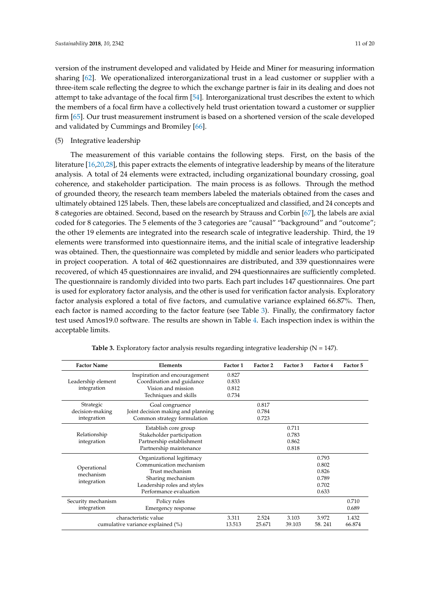version of the instrument developed and validated by Heide and Miner for measuring information sharing [\[62\]](#page-19-6). We operationalized interorganizational trust in a lead customer or supplier with a three-item scale reflecting the degree to which the exchange partner is fair in its dealing and does not attempt to take advantage of the focal firm [\[54\]](#page-18-22). Interorganizational trust describes the extent to which the members of a focal firm have a collectively held trust orientation toward a customer or supplier firm [\[65\]](#page-19-9). Our trust measurement instrument is based on a shortened version of the scale developed and validated by Cummings and Bromiley [\[66\]](#page-19-10).

#### (5) Integrative leadership

The measurement of this variable contains the following steps. First, on the basis of the literature [\[16,](#page-17-10)[20,](#page-17-14)[28\]](#page-17-22), this paper extracts the elements of integrative leadership by means of the literature analysis. A total of 24 elements were extracted, including organizational boundary crossing, goal coherence, and stakeholder participation. The main process is as follows. Through the method of grounded theory, the research team members labeled the materials obtained from the cases and ultimately obtained 125 labels. Then, these labels are conceptualized and classified, and 24 concepts and 8 categories are obtained. Second, based on the research by Strauss and Corbin [\[67\]](#page-19-11), the labels are axial coded for 8 categories. The 5 elements of the 3 categories are "causal" "background" and "outcome"; the other 19 elements are integrated into the research scale of integrative leadership. Third, the 19 elements were transformed into questionnaire items, and the initial scale of integrative leadership was obtained. Then, the questionnaire was completed by middle and senior leaders who participated in project cooperation. A total of 462 questionnaires are distributed, and 339 questionnaires were recovered, of which 45 questionnaires are invalid, and 294 questionnaires are sufficiently completed. The questionnaire is randomly divided into two parts. Each part includes 147 questionnaires. One part is used for exploratory factor analysis, and the other is used for verification factor analysis. Exploratory factor analysis explored a total of five factors, and cumulative variance explained 66.87%. Then, each factor is named according to the factor feature (see Table [3\)](#page-10-0). Finally, the confirmatory factor test used Amos19.0 software. The results are shown in Table [4.](#page-11-0) Each inspection index is within the acceptable limits.

<span id="page-10-0"></span>

| <b>Factor Name</b> | Elements                           | Factor 1 | Factor 2 | Factor 3 | Factor 4 | Factor 5 |
|--------------------|------------------------------------|----------|----------|----------|----------|----------|
|                    | Inspiration and encouragement      | 0.827    |          |          |          |          |
| Leadership element | Coordination and guidance          | 0.833    |          |          |          |          |
| integration        | Vision and mission                 | 0.812    |          |          |          |          |
|                    | Techniques and skills              | 0.734    |          |          |          |          |
| Strategic          | Goal congruence                    |          | 0.817    |          |          |          |
| decision-making    | Joint decision making and planning |          | 0.784    |          |          |          |
| integration        | Common strategy formulation        |          | 0.723    |          |          |          |
|                    | Establish core group               |          |          | 0.711    |          |          |
| Relationship       | Stakeholder participation          |          |          | 0.783    |          |          |
| integration        | Partnership establishment          |          |          | 0.862    |          |          |
|                    | Partnership maintenance            |          |          | 0.818    |          |          |
|                    | Organizational legitimacy          |          |          |          | 0.793    |          |
| Operational        | Communication mechanism            |          |          |          | 0.802    |          |
| mechanism          | Trust mechanism                    |          |          |          | 0.826    |          |
| integration        | Sharing mechanism                  |          |          |          | 0.789    |          |
|                    | Leadership roles and styles        |          |          |          | 0.702    |          |
|                    | Performance evaluation             |          |          |          | 0.633    |          |
| Security mechanism | Policy rules                       |          |          |          |          | 0.710    |
| integration        | Emergency response                 |          |          |          |          | 0.689    |
|                    | characteristic value               | 3.311    | 2.524    | 3.103    | 3.972    | 1.432    |
|                    | cumulative variance explained (%)  | 13.513   | 25.671   | 39.103   | 58.241   | 66.874   |

|  |  | Table 3. Exploratory factor analysis results regarding integrative leadership $(N = 147)$ . |  |
|--|--|---------------------------------------------------------------------------------------------|--|
|  |  |                                                                                             |  |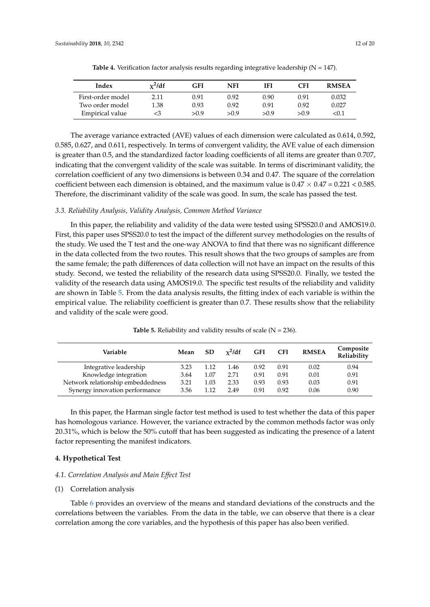<span id="page-11-0"></span>

|                   |           |      | $\check{~}$<br>$\cdot$ | $\cdot$ |           |              |  |
|-------------------|-----------|------|------------------------|---------|-----------|--------------|--|
| Index             | $x^2$ /df | GFI  | <b>NFI</b>             | IFI     | $\cap$ FI | <b>RMSEA</b> |  |
| First-order model |           | 0.91 | 0.92                   | 0.90    | 0.91      | 0.032        |  |

**Table 4.** Verification factor analysis results regarding integrative leadership  $(N = 147)$ .

Two order model 1.38 0.93 0.92 0.91 0.92 0.027 Empirical value  $\langle 3 \rangle$   $>0.9$   $>0.9$   $>0.9$   $>0.9$   $\langle 0.1 \rangle$ 

The average variance extracted (AVE) values of each dimension were calculated as 0.614, 0.592, 0.585, 0.627, and 0.611, respectively. In terms of convergent validity, the AVE value of each dimension is greater than 0.5, and the standardized factor loading coefficients of all items are greater than 0.707, indicating that the convergent validity of the scale was suitable. In terms of discriminant validity, the correlation coefficient of any two dimensions is between 0.34 and 0.47. The square of the correlation coefficient between each dimension is obtained, and the maximum value is  $0.47 \times 0.47 = 0.221 < 0.585$ . Therefore, the discriminant validity of the scale was good. In sum, the scale has passed the test.

#### *3.3. Reliability Analysis, Validity Analysis, Common Method Variance*

In this paper, the reliability and validity of the data were tested using SPSS20.0 and AMOS19.0. First, this paper uses SPSS20.0 to test the impact of the different survey methodologies on the results of the study. We used the T test and the one-way ANOVA to find that there was no significant difference in the data collected from the two routes. This result shows that the two groups of samples are from the same female; the path differences of data collection will not have an impact on the results of this study. Second, we tested the reliability of the research data using SPSS20.0. Finally, we tested the validity of the research data using AMOS19.0. The specific test results of the reliability and validity are shown in Table [5.](#page-11-1) From the data analysis results, the fitting index of each variable is within the empirical value. The reliability coefficient is greater than 0.7. These results show that the reliability and validity of the scale were good.

<span id="page-11-1"></span>

| Variable                          | Mean | <b>SD</b> | $x^2$ /df | <b>GFI</b> | <b>CFI</b> | <b>RMSEA</b> | Composite<br>Reliability |
|-----------------------------------|------|-----------|-----------|------------|------------|--------------|--------------------------|
| Integrative leadership            | 3.23 | 1.12      | 1.46      | 0.92       | 0.91       | 0.02         | 0.94                     |
| Knowledge integration             | 3.64 | 1.07      | 2.71      | 0.91       | 0.91       | 0.01         | 0.91                     |
| Network relationship embeddedness | 3.21 | 1.03      | 2.33      | 0.93       | 0.93       | 0.03         | 0.91                     |
| Synergy innovation performance    | 3.56 | 1.12      | 2.49      | 0.91       | 0.92       | 0.06         | 0.90                     |

**Table 5.** Reliability and validity results of scale  $(N = 236)$ .

In this paper, the Harman single factor test method is used to test whether the data of this paper has homologous variance. However, the variance extracted by the common methods factor was only 20.31%, which is below the 50% cutoff that has been suggested as indicating the presence of a latent factor representing the manifest indicators.

#### **4. Hypothetical Test**

#### *4.1. Correlation Analysis and Main Effect Test*

#### (1) Correlation analysis

Table [6](#page-12-0) provides an overview of the means and standard deviations of the constructs and the correlations between the variables. From the data in the table, we can observe that there is a clear correlation among the core variables, and the hypothesis of this paper has also been verified.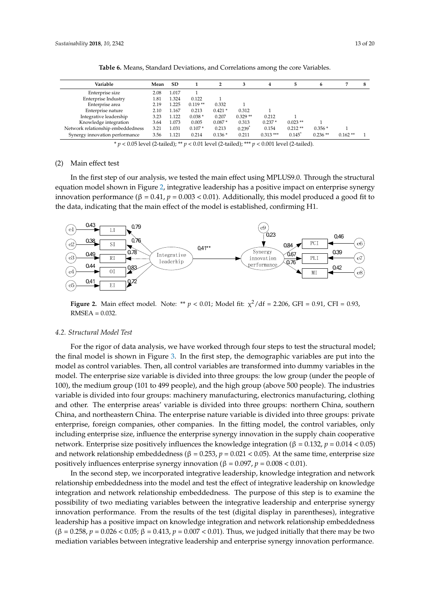| Variable                          | Mean | <b>SD</b> |           | $\overline{2}$ | 3                    | 4          | 5                    | 6         |           | 8 |
|-----------------------------------|------|-----------|-----------|----------------|----------------------|------------|----------------------|-----------|-----------|---|
| Enterprise size                   | 2.08 | 1.017     |           |                |                      |            |                      |           |           |   |
| Enterprise Industry               | 1.81 | 1.324     | 0.122     |                |                      |            |                      |           |           |   |
| Enterprise area                   | 2.19 | 1.225     | $0.119**$ | 0.332          |                      |            |                      |           |           |   |
| Enterprise nature                 | 2.10 | 1.167     | 0.213     | $0.421*$       | 0.312                |            |                      |           |           |   |
| Integrative leadership            | 3.23 | 1.122     | $0.038*$  | 0.207          | $0.329**$            | 0.212      |                      |           |           |   |
| Knowledge integration             | 3.64 | 1.073     | 0.005     | $0.087*$       | 0.313                | $0.237*$   | $0.023**$            |           |           |   |
| Network relationship embeddedness | 3.21 | 1.031     | $0.107*$  | 0.213          | $0.239$ <sup>*</sup> | 0.154      | $0.212**$            | $0.356*$  |           |   |
| Synergy innovation performance    | 3.56 | 1.121     | 0.214     | $0.136*$       | 0.211                | $0.313***$ | $0.145$ <sup>*</sup> | $0.236**$ | $0.162**$ |   |

<span id="page-12-0"></span>Table 6. Means, Standard Deviations, and Correlations among the core Variables.

\* *p* < 0.05 level (2-tailed); \*\* *p* < 0.01 level (2-tailed); \*\*\* *p* < 0.001 level (2-tailed).

#### (2) Main effect test  $\sum_{i=1}^n \mathbf{I}_i$  the first step of our analysis, we test  $\sum_{i=1}^n \mathbf{I}_i$

In the first step of our analysis, we tested the main effect using MPLUS9.0. Through the structural equation model shown in Figure 2, integrative leadership has a positive impact on enterprise synergy innovation performance ( $\beta = 0.41$ ,  $p = 0.003 < 0.01$ ). Additionally, this model produced a good fit to the data, indicating that the main effect of the model is established, confirming H1.

<span id="page-12-1"></span>

**Figure 2.** Main effect model. Note: \*\*  $p < 0.01$ ; Model fit:  $\chi^2/\text{df} = 2.206$ , GFI = 0.91, CFI = 0.93, RMSEA = 0.032.

#### *4.2. Structural Model Test*

For the rigor of data analysis, we have worked through four steps to test the structural model; the final model is shown in Figure [3.](#page-13-0) In the first step, the demographic variables are put into the model as control variables. Then, all control variables are transformed into dummy variables in the model. The enterprise size variable is divided into three groups: the low group (under the people of 100), the medium group (101 to 499 people), and the high group (above 500 people). The industries variable is divided into four groups: machinery manufacturing, electronics manufacturing, clothing and other. The enterprise areas' variable is divided into three groups: northern China, southern China, and northeastern China. The enterprise nature variable is divided into three groups: private enterprise, foreign companies, other companies. In the fitting model, the control variables, only including enterprise size, influence the enterprise synergy innovation in the supply chain cooperative network. Enterprise size positively influences the knowledge integration (β = 0.132,  $p = 0.014 < 0.05$ ) and network relationship embeddedness ( $\beta = 0.253$ ,  $p = 0.021 < 0.05$ ). At the same time, enterprise size positively influences enterprise synergy innovation ( $\beta = 0.097$ ,  $p = 0.008 < 0.01$ ).

In the second step, we incorporated integrative leadership, knowledge integration and network relationship embeddedness into the model and test the effect of integrative leadership on knowledge integration and network relationship embeddedness. The purpose of this step is to examine the possibility of two mediating variables between the integrative leadership and enterprise synergy innovation performance. From the results of the test (digital display in parentheses), integrative leadership has a positive impact on knowledge integration and network relationship embeddedness (β = 0.258, *p* = 0.026 < 0.05; β = 0.413, *p* = 0.007 < 0.01). Thus, we judged initially that there may be two mediation variables between integrative leadership and enterprise synergy innovation performance.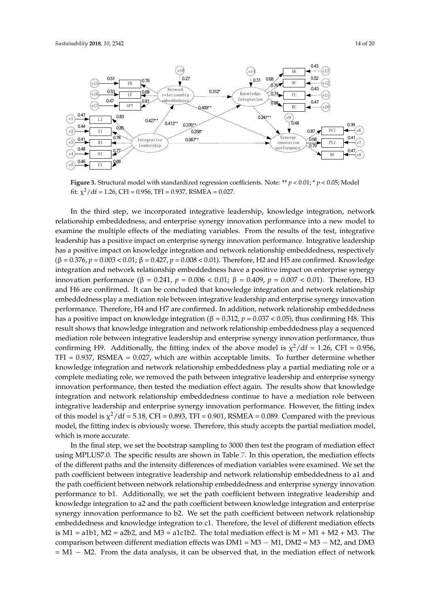

<span id="page-13-0"></span>

**Figure 3.** Structural model with standardized regression coefficients. Note: \*\*  $p < 0.01$ ; \*  $p < 0.05$ ; Model fit:  $\chi^2/df = 1.26$ , CFI = 0.956, TFI = 0.937, RSMEA = 0.027. fit:  $\chi^2$ /df = 1.26, CFI = 0.956, TFI = 0.937, RSMEA = 0.027.

In the third step, we incorporated integrative leadership, knowledge integration, network relationship embeddedness, and enterprise synergy innovation performance into a new model to examine the multiple effects of the mediating variables. From the results of the test, integrative leadership has a positive impact on enterprise synergy innovation performance. Integrative leadership has a positive impact on knowledge integration and network relationship embeddedness, respectively  $(β = 0.376, p = 0.003 < 0.01; β = 0.427, p = 0.008 < 0.01)$ . Therefore, H2 and H5 are confirmed. Knowledge integration and network relationship embeddedness have a positive impact on enterprise synergy innovation performance ( $\beta = 0.241$ ,  $p = 0.006 < 0.01$ ;  $\beta = 0.409$ ,  $p = 0.007 < 0.01$ ). Therefore, H3 and H6 are confirmed. It can be concluded that knowledge integration and network relationship embeddedness play a mediation role between integrative leadership and enterprise synergy innovation performance. Therefore, H4 and H7 are confirmed. In addition, network relationship embeddedness has a positive impact on knowledge integration (β = 0.312,  $p = 0.037 < 0.05$ ), thus confirming H8. This result shows that knowledge integration and network relationship embeddedness play a sequenced mediation role between integrative leadership and enterprise synergy innovation performance, thus confirming H9. Additionally, the fitting index of the above model is  $\chi^2/df = 1.26$ , CFI = 0.956, TFI = 0.937, RSMEA = 0.027, which are within acceptable limits. To further determine whether knowledge integration and network relationship embeddedness play a partial mediating role or a complete mediating role, we removed the path between integrative leadership and enterprise synergy innovation performance, then tested the mediation effect again. The results show that knowledge integration and network relationship embeddedness continue to have a mediation role between integrative leadership and enterprise synergy innovation performance. However, the fitting index of this model is  $\chi^2$ /df = 5.18, CFI = 0.893, TFI = 0.901, RSMEA = 0.089. Compared with the previous model, the fitting index is obviously worse. Therefore, this study accepts the partial mediation model, which is more accurate.

In the final step, we set the bootstrap sampling to 3000 then test the program of mediation effect using MPLUS7.0. The specific results are shown in Table [7.](#page-14-0) In this operation, the mediation effects of the different paths and the intensity differences of mediation variables were examined. We set the path coefficient between integrative leadership and network relationship embeddedness to a1 and the path coefficient between network relationship embeddedness and enterprise synergy innovation performance to b1. Additionally, we set the path coefficient between integrative leadership and knowledge integration to a2 and the path coefficient between knowledge integration and enterprise synergy innovation performance to b2. We set the path coefficient between network relationship embeddedness and knowledge integration to c1. Therefore, the level of different mediation effects is  $M1 = a1b1$ ,  $M2 = a2b2$ , and  $M3 = a1c1b2$ . The total mediation effect is  $M = M1 + M2 + M3$ . The comparison between different mediation effects was  $DM1 = M3 - M1$ ,  $DM2 = M3 - M2$ , and  $DM3$  $= M1 - M2$ . From the data analysis, it can be observed that, in the mediation effect of network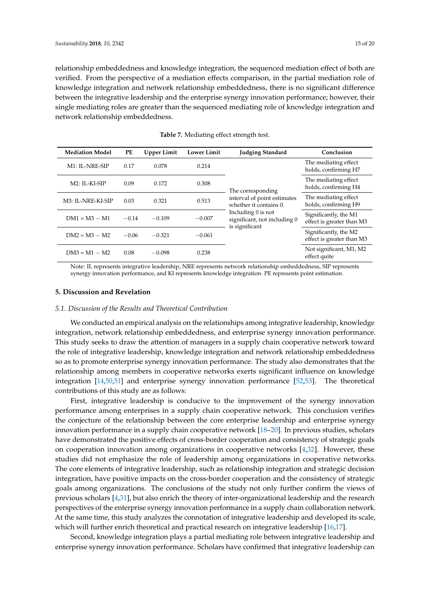relationship embeddedness and knowledge integration, the sequenced mediation effect of both are verified. From the perspective of a mediation effects comparison, in the partial mediation role of knowledge integration and network relationship embeddedness, there is no significant difference between the integrative leadership and the enterprise synergy innovation performance; however, their single mediating roles are greater than the sequenced mediating role of knowledge integration and network relationship embeddedness.

<span id="page-14-0"></span>

| <b>Mediation Model</b> | PE      | <b>Upper Limit</b> | <b>Lower Limit</b> | <b>Judging Standard</b>                                                                                       | Conclusion                                         |
|------------------------|---------|--------------------|--------------------|---------------------------------------------------------------------------------------------------------------|----------------------------------------------------|
| M1: IL-NRE-SIP         | 0.17    | 0.078              | 0.214              |                                                                                                               | The mediating effect<br>holds, confirming H7       |
| M2: IL-KI-SIP          | 0.09    | 0.172              | 0.308              | The corresponding                                                                                             | The mediating effect<br>holds, confirming H4       |
| M3: IL-NRE-KI-SIP      | 0.03    | 0.321              | 0.513              | interval of point estimates<br>whether it contains 0.<br>Including $0$ is not<br>significant, not including 0 | The mediating effect<br>holds, confirming H9       |
| $DM1 = M3 - M1$        | $-0.14$ | $-0.109$           | $-0.007$           |                                                                                                               | Significantly, the M1<br>effect is greater than M3 |
| $DM2 = M3 - M2$        | $-0.06$ | $-0.321$           | $-0.061$           | is significant                                                                                                | Significantly, the M2<br>effect is greater than M3 |
| $DM3 = M1 - M2$        | 0.08    | $-0.098$           | 0.238              |                                                                                                               | Not significant, M1, M2<br>effect quite            |

**Table 7.** Mediating effect strength test.

Note: IL represents integrative leadership, NRE represents network relationship embeddedness, SIP represents synergy innovation performance, and KI represents knowledge integration. PE represents point estimation.

#### **5. Discussion and Revelation**

#### *5.1. Discussion of the Results and Theoretical Contribution*

We conducted an empirical analysis on the relationships among integrative leadership, knowledge integration, network relationship embeddedness, and enterprise synergy innovation performance. This study seeks to draw the attention of managers in a supply chain cooperative network toward the role of integrative leadership, knowledge integration and network relationship embeddedness so as to promote enterprise synergy innovation performance. The study also demonstrates that the relationship among members in cooperative networks exerts significant influence on knowledge integration [\[14,](#page-17-8)[50,](#page-18-18)[51\]](#page-18-19) and enterprise synergy innovation performance [\[52,](#page-18-20)[53\]](#page-18-21). The theoretical contributions of this study are as follows:

First, integrative leadership is conducive to the improvement of the synergy innovation performance among enterprises in a supply chain cooperative network. This conclusion verifies the conjecture of the relationship between the core enterprise leadership and enterprise synergy innovation performance in a supply chain cooperative network [\[18–](#page-17-12)[20\]](#page-17-14). In previous studies, scholars have demonstrated the positive effects of cross-border cooperation and consistency of strategic goals on cooperation innovation among organizations in cooperative networks [\[4,](#page-16-3)[32\]](#page-18-0). However, these studies did not emphasize the role of leadership among organizations in cooperative networks. The core elements of integrative leadership, such as relationship integration and strategic decision integration, have positive impacts on the cross-border cooperation and the consistency of strategic goals among organizations. The conclusions of the study not only further confirm the views of previous scholars [\[4,](#page-16-3)[31\]](#page-17-24), but also enrich the theory of inter-organizational leadership and the research perspectives of the enterprise synergy innovation performance in a supply chain collaboration network. At the same time, this study analyzes the connotation of integrative leadership and developed its scale, which will further enrich theoretical and practical research on integrative leadership [\[16](#page-17-10)[,17\]](#page-17-11).

Second, knowledge integration plays a partial mediating role between integrative leadership and enterprise synergy innovation performance. Scholars have confirmed that integrative leadership can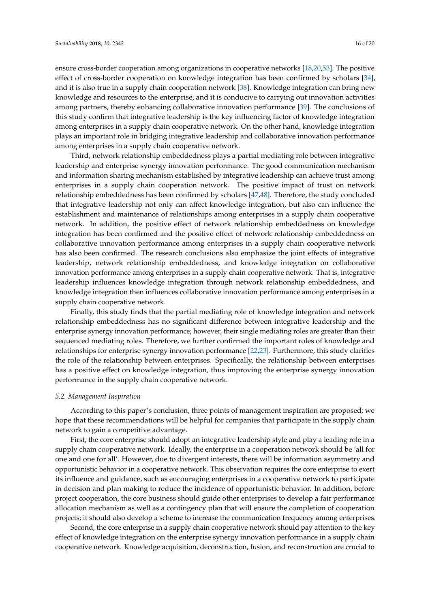ensure cross-border cooperation among organizations in cooperative networks [\[18](#page-17-12)[,20](#page-17-14)[,53\]](#page-18-21). The positive effect of cross-border cooperation on knowledge integration has been confirmed by scholars [\[34\]](#page-18-2), and it is also true in a supply chain cooperation network [\[38\]](#page-18-6). Knowledge integration can bring new knowledge and resources to the enterprise, and it is conducive to carrying out innovation activities among partners, thereby enhancing collaborative innovation performance [\[39\]](#page-18-7). The conclusions of this study confirm that integrative leadership is the key influencing factor of knowledge integration among enterprises in a supply chain cooperative network. On the other hand, knowledge integration plays an important role in bridging integrative leadership and collaborative innovation performance among enterprises in a supply chain cooperative network.

Third, network relationship embeddedness plays a partial mediating role between integrative leadership and enterprise synergy innovation performance. The good communication mechanism and information sharing mechanism established by integrative leadership can achieve trust among enterprises in a supply chain cooperation network. The positive impact of trust on network relationship embeddedness has been confirmed by scholars [\[47](#page-18-15)[,48\]](#page-18-16). Therefore, the study concluded that integrative leadership not only can affect knowledge integration, but also can influence the establishment and maintenance of relationships among enterprises in a supply chain cooperative network. In addition, the positive effect of network relationship embeddedness on knowledge integration has been confirmed and the positive effect of network relationship embeddedness on collaborative innovation performance among enterprises in a supply chain cooperative network has also been confirmed. The research conclusions also emphasize the joint effects of integrative leadership, network relationship embeddedness, and knowledge integration on collaborative innovation performance among enterprises in a supply chain cooperative network. That is, integrative leadership influences knowledge integration through network relationship embeddedness, and knowledge integration then influences collaborative innovation performance among enterprises in a supply chain cooperative network.

Finally, this study finds that the partial mediating role of knowledge integration and network relationship embeddedness has no significant difference between integrative leadership and the enterprise synergy innovation performance; however, their single mediating roles are greater than their sequenced mediating roles. Therefore, we further confirmed the important roles of knowledge and relationships for enterprise synergy innovation performance [\[22,](#page-17-16)[23\]](#page-17-17). Furthermore, this study clarifies the role of the relationship between enterprises. Specifically, the relationship between enterprises has a positive effect on knowledge integration, thus improving the enterprise synergy innovation performance in the supply chain cooperative network.

#### *5.2. Management Inspiration*

According to this paper's conclusion, three points of management inspiration are proposed; we hope that these recommendations will be helpful for companies that participate in the supply chain network to gain a competitive advantage.

First, the core enterprise should adopt an integrative leadership style and play a leading role in a supply chain cooperative network. Ideally, the enterprise in a cooperation network should be 'all for one and one for all'. However, due to divergent interests, there will be information asymmetry and opportunistic behavior in a cooperative network. This observation requires the core enterprise to exert its influence and guidance, such as encouraging enterprises in a cooperative network to participate in decision and plan making to reduce the incidence of opportunistic behavior. In addition, before project cooperation, the core business should guide other enterprises to develop a fair performance allocation mechanism as well as a contingency plan that will ensure the completion of cooperation projects; it should also develop a scheme to increase the communication frequency among enterprises.

Second, the core enterprise in a supply chain cooperative network should pay attention to the key effect of knowledge integration on the enterprise synergy innovation performance in a supply chain cooperative network. Knowledge acquisition, deconstruction, fusion, and reconstruction are crucial to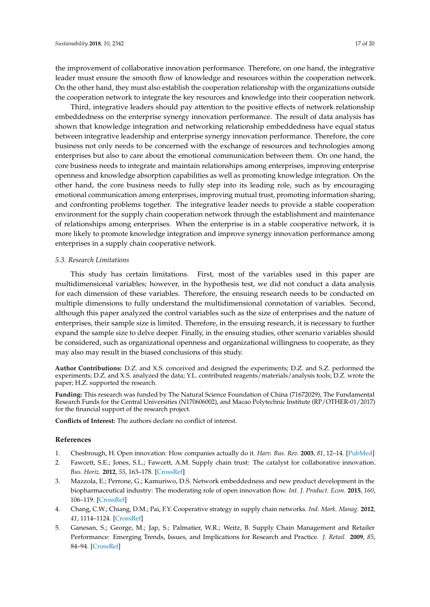the improvement of collaborative innovation performance. Therefore, on one hand, the integrative leader must ensure the smooth flow of knowledge and resources within the cooperation network. On the other hand, they must also establish the cooperation relationship with the organizations outside the cooperation network to integrate the key resources and knowledge into their cooperation network.

Third, integrative leaders should pay attention to the positive effects of network relationship embeddedness on the enterprise synergy innovation performance. The result of data analysis has shown that knowledge integration and networking relationship embeddedness have equal status between integrative leadership and enterprise synergy innovation performance. Therefore, the core business not only needs to be concerned with the exchange of resources and technologies among enterprises but also to care about the emotional communication between them. On one hand, the core business needs to integrate and maintain relationships among enterprises, improving enterprise openness and knowledge absorption capabilities as well as promoting knowledge integration. On the other hand, the core business needs to fully step into its leading role, such as by encouraging emotional communication among enterprises, improving mutual trust, promoting information sharing, and confronting problems together. The integrative leader needs to provide a stable cooperation environment for the supply chain cooperation network through the establishment and maintenance of relationships among enterprises. When the enterprise is in a stable cooperative network, it is more likely to promote knowledge integration and improve synergy innovation performance among enterprises in a supply chain cooperative network.

#### *5.3. Research Limitations*

This study has certain limitations. First, most of the variables used in this paper are multidimensional variables; however, in the hypothesis test, we did not conduct a data analysis for each dimension of these variables. Therefore, the ensuing research needs to be conducted on multiple dimensions to fully understand the multidimensional connotation of variables. Second, although this paper analyzed the control variables such as the size of enterprises and the nature of enterprises, their sample size is limited. Therefore, in the ensuing research, it is necessary to further expand the sample size to delve deeper. Finally, in the ensuing studies, other scenario variables should be considered, such as organizational openness and organizational willingness to cooperate, as they may also may result in the biased conclusions of this study.

**Author Contributions:** D.Z. and X.S. conceived and designed the experiments; D.Z. and S.Z. performed the experiments; D.Z. and X.S. analyzed the data; Y.L. contributed reagents/materials/analysis tools; D.Z. wrote the paper; H.Z. supported the research.

**Funding:** This research was funded by The Natural Science Foundation of China (71672029), The Fundamental Research Funds for the Central Universities (N170606002), and Macao Polytechnic Institute (RP/OTHER-01/2017) for the financial support of the research project.

**Conflicts of Interest:** The authors declare no conflict of interest.

#### **References**

- <span id="page-16-0"></span>1. Chesbrough, H. Open innovation: How companies actually do it. *Harv. Bus. Rev.* **2003**, *81*, 12–14. [\[PubMed\]](http://www.ncbi.nlm.nih.gov/pubmed/12858705)
- <span id="page-16-1"></span>2. Fawcett, S.E.; Jones, S.L.; Fawcett, A.M. Supply chain trust: The catalyst for collaborative innovation. *Bus. Horiz.* **2012**, *55*, 163–178. [\[CrossRef\]](http://dx.doi.org/10.1016/j.bushor.2011.11.004)
- <span id="page-16-2"></span>3. Mazzola, E.; Perrone, G.; Kamuriwo, D.S. Network embeddedness and new product development in the biopharmaceutical industry: The moderating role of open innovation flow. *Int. J. Product. Econ.* **2015**, *160*, 106–119. [\[CrossRef\]](http://dx.doi.org/10.1016/j.ijpe.2014.10.002)
- <span id="page-16-3"></span>4. Chang, C.W.; Chiang, D.M.; Pai, F.Y. Cooperative strategy in supply chain networks. *Ind. Mark. Manag.* **2012**, *41*, 1114–1124. [\[CrossRef\]](http://dx.doi.org/10.1016/j.indmarman.2012.04.011)
- <span id="page-16-4"></span>5. Ganesan, S.; George, M.; Jap, S.; Palmatier, W.R.; Weitz, B. Supply Chain Management and Retailer Performance: Emerging Trends, Issues, and Implications for Research and Practice. *J. Retail.* **2009**, *85*, 84–94. [\[CrossRef\]](http://dx.doi.org/10.1016/j.jretai.2008.12.001)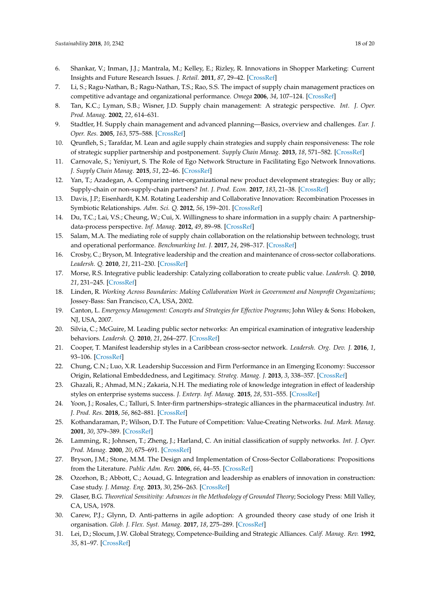- <span id="page-17-0"></span>6. Shankar, V.; Inman, J.J.; Mantrala, M.; Kelley, E.; Rizley, R. Innovations in Shopper Marketing: Current Insights and Future Research Issues. *J. Retail.* **2011**, *87*, 29–42. [\[CrossRef\]](http://dx.doi.org/10.1016/j.jretai.2011.04.007)
- <span id="page-17-1"></span>7. Li, S.; Ragu-Nathan, B.; Ragu-Nathan, T.S.; Rao, S.S. The impact of supply chain management practices on competitive advantage and organizational performance. *Omega* **2006**, *34*, 107–124. [\[CrossRef\]](http://dx.doi.org/10.1016/j.omega.2004.08.002)
- <span id="page-17-2"></span>8. Tan, K.C.; Lyman, S.B.; Wisner, J.D. Supply chain management: A strategic perspective. *Int. J. Oper. Prod. Manag.* **2002**, *22*, 614–631.
- <span id="page-17-3"></span>9. Stadtler, H. Supply chain management and advanced planning—Basics, overview and challenges. *Eur. J. Oper. Res.* **2005**, *163*, 575–588. [\[CrossRef\]](http://dx.doi.org/10.1016/j.ejor.2004.03.001)
- <span id="page-17-4"></span>10. Qrunfleh, S.; Tarafdar, M. Lean and agile supply chain strategies and supply chain responsiveness: The role of strategic supplier partnership and postponement. *Supply Chain Manag.* **2013**, *18*, 571–582. [\[CrossRef\]](http://dx.doi.org/10.1108/SCM-01-2013-0015)
- <span id="page-17-5"></span>11. Carnovale, S.; Yeniyurt, S. The Role of Ego Network Structure in Facilitating Ego Network Innovations. *J. Supply Chain Manag.* **2015**, *51*, 22–46. [\[CrossRef\]](http://dx.doi.org/10.1111/jscm.12075)
- <span id="page-17-6"></span>12. Yan, T.; Azadegan, A. Comparing inter-organizational new product development strategies: Buy or ally; Supply-chain or non-supply-chain partners? *Int. J. Prod. Econ.* **2017**, *183*, 21–38. [\[CrossRef\]](http://dx.doi.org/10.1016/j.ijpe.2016.09.023)
- <span id="page-17-7"></span>13. Davis, J.P.; Eisenhardt, K.M. Rotating Leadership and Collaborative Innovation: Recombination Processes in Symbiotic Relationships. *Adm. Sci. Q.* **2012**, *56*, 159–201. [\[CrossRef\]](http://dx.doi.org/10.1177/0001839211428131)
- <span id="page-17-8"></span>14. Du, T.C.; Lai, V.S.; Cheung, W.; Cui, X. Willingness to share information in a supply chain: A partnershipdata-process perspective. *Inf. Manag.* **2012**, *49*, 89–98. [\[CrossRef\]](http://dx.doi.org/10.1016/j.im.2011.10.003)
- <span id="page-17-9"></span>15. Salam, M.A. The mediating role of supply chain collaboration on the relationship between technology, trust and operational performance. *Benchmarking Int. J.* **2017**, *24*, 298–317. [\[CrossRef\]](http://dx.doi.org/10.1108/BIJ-07-2015-0075)
- <span id="page-17-10"></span>16. Crosby, C.; Bryson, M. Integrative leadership and the creation and maintenance of cross-sector collaborations. *Leadersh. Q.* **2010**, *21*, 211–230. [\[CrossRef\]](http://dx.doi.org/10.1016/j.leaqua.2010.01.003)
- <span id="page-17-11"></span>17. Morse, R.S. Integrative public leadership: Catalyzing collaboration to create public value. *Leadersh. Q.* **2010**, *21*, 231–245. [\[CrossRef\]](http://dx.doi.org/10.1016/j.leaqua.2010.01.004)
- <span id="page-17-12"></span>18. Linden, R. *Working Across Boundaries: Making Collaboration Work in Government and Nonprofit Organizations*; Jossey-Bass: San Francisco, CA, USA, 2002.
- <span id="page-17-13"></span>19. Canton, L. *Emergency Management: Concepts and Strategies for Effective Programs*; John Wiley & Sons: Hoboken, NJ, USA, 2007.
- <span id="page-17-14"></span>20. Silvia, C.; McGuire, M. Leading public sector networks: An empirical examination of integrative leadership behaviors. *Leadersh. Q.* **2010**, *21*, 264–277. [\[CrossRef\]](http://dx.doi.org/10.1016/j.leaqua.2010.01.006)
- <span id="page-17-15"></span>21. Cooper, T. Manifest leadership styles in a Caribbean cross-sector network. *Leadersh. Org. Dev. J.* **2016**, *1*, 93–106. [\[CrossRef\]](http://dx.doi.org/10.1108/LODJ-04-2014-0080)
- <span id="page-17-16"></span>22. Chung, C.N.; Luo, X.R. Leadership Succession and Firm Performance in an Emerging Economy: Successor Origin, Relational Embeddedness, and Legitimacy. *Strateg. Manag. J.* **2013**, *3*, 338–357. [\[CrossRef\]](http://dx.doi.org/10.1002/smj.2011)
- <span id="page-17-17"></span>23. Ghazali, R.; Ahmad, M.N.; Zakaria, N.H. The mediating role of knowledge integration in effect of leadership styles on enterprise systems success. *J. Enterp. Inf. Manag.* **2015**, *28*, 531–555. [\[CrossRef\]](http://dx.doi.org/10.1108/JEIM-08-2014-0083)
- <span id="page-17-18"></span>24. Yoon, J.; Rosales, C.; Talluri, S. Inter-firm partnerships–strategic alliances in the pharmaceutical industry. *Int. J. Prod. Res.* **2018**, *56*, 862–881. [\[CrossRef\]](http://dx.doi.org/10.1080/00207543.2017.1397793)
- <span id="page-17-19"></span>25. Kothandaraman, P.; Wilson, D.T. The Future of Competition: Value-Creating Networks. *Ind. Mark. Manag.* **2001**, *30*, 379–389. [\[CrossRef\]](http://dx.doi.org/10.1016/S0019-8501(00)00152-8)
- <span id="page-17-20"></span>26. Lamming, R.; Johnsen, T.; Zheng, J.; Harland, C. An initial classification of supply networks. *Int. J. Oper. Prod. Manag.* **2000**, *20*, 675–691. [\[CrossRef\]](http://dx.doi.org/10.1108/01443570010321667)
- <span id="page-17-21"></span>27. Bryson, J.M.; Stone, M.M. The Design and Implementation of Cross-Sector Collaborations: Propositions from the Literature. *Public Adm. Rev.* **2006**, *66*, 44–55. [\[CrossRef\]](http://dx.doi.org/10.1111/j.1540-6210.2006.00665.x)
- <span id="page-17-22"></span>28. Ozorhon, B.; Abbott, C.; Aouad, G. Integration and leadership as enablers of innovation in construction: Case study. *J. Manag. Eng.* **2013**, *30*, 256–263. [\[CrossRef\]](http://dx.doi.org/10.1061/(ASCE)ME.1943-5479.0000204)
- 29. Glaser, B.G. *Theoretical Sensitivity: Advances in the Methodology of Grounded Theory*; Sociology Press: Mill Valley, CA, USA, 1978.
- <span id="page-17-23"></span>30. Carew, P.J.; Glynn, D. Anti-patterns in agile adoption: A grounded theory case study of one Irish it organisation. *Glob. J. Flex. Syst. Manag.* **2017**, *18*, 275–289. [\[CrossRef\]](http://dx.doi.org/10.1007/s40171-017-0162-8)
- <span id="page-17-24"></span>31. Lei, D.; Slocum, J.W. Global Strategy, Competence-Building and Strategic Alliances. *Calif. Manag. Rev.* **1992**, *35*, 81–97. [\[CrossRef\]](http://dx.doi.org/10.2307/41166714)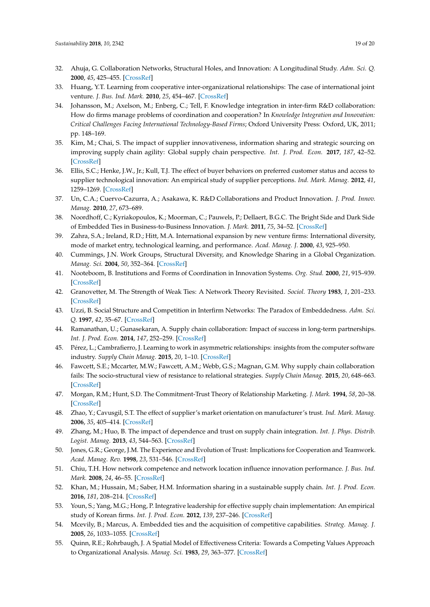- <span id="page-18-0"></span>32. Ahuja, G. Collaboration Networks, Structural Holes, and Innovation: A Longitudinal Study. *Adm. Sci. Q.* **2000**, *45*, 425–455. [\[CrossRef\]](http://dx.doi.org/10.2307/2667105)
- <span id="page-18-1"></span>33. Huang, Y.T. Learning from cooperative inter-organizational relationships: The case of international joint venture. *J. Bus. Ind. Mark.* **2010**, *25*, 454–467. [\[CrossRef\]](http://dx.doi.org/10.1108/08858621011066044)
- <span id="page-18-2"></span>34. Johansson, M.; Axelson, M.; Enberg, C.; Tell, F. Knowledge integration in inter-firm R&D collaboration: How do firms manage problems of coordination and cooperation? In *Knowledge Integration and Innovation: Critical Challenges Facing International Technology-Based Firms*; Oxford University Press: Oxford, UK, 2011; pp. 148–169.
- <span id="page-18-3"></span>35. Kim, M.; Chai, S. The impact of supplier innovativeness, information sharing and strategic sourcing on improving supply chain agility: Global supply chain perspective. *Int. J. Prod. Econ.* **2017**, *187*, 42–52. [\[CrossRef\]](http://dx.doi.org/10.1016/j.ijpe.2017.02.007)
- <span id="page-18-4"></span>36. Ellis, S.C.; Henke, J.W., Jr.; Kull, T.J. The effect of buyer behaviors on preferred customer status and access to supplier technological innovation: An empirical study of supplier perceptions. *Ind. Mark. Manag.* **2012**, *41*, 1259–1269. [\[CrossRef\]](http://dx.doi.org/10.1016/j.indmarman.2012.10.010)
- <span id="page-18-5"></span>37. Un, C.A.; Cuervo-Cazurra, A.; Asakawa, K. R&D Collaborations and Product Innovation. *J. Prod. Innov. Manag.* **2010**, *27*, 673–689.
- <span id="page-18-6"></span>38. Noordhoff, C.; Kyriakopoulos, K.; Moorman, C.; Pauwels, P.; Dellaert, B.G.C. The Bright Side and Dark Side of Embedded Ties in Business-to-Business Innovation. *J. Mark.* **2011**, *75*, 34–52. [\[CrossRef\]](http://dx.doi.org/10.1509/jmkg.75.5.34)
- <span id="page-18-7"></span>39. Zahra, S.A.; Ireland, R.D.; Hitt, M.A. International expansion by new venture firms: International diversity, mode of market entry, technological learning, and performance. *Acad. Manag. J.* **2000**, *43*, 925–950.
- <span id="page-18-8"></span>40. Cummings, J.N. Work Groups, Structural Diversity, and Knowledge Sharing in a Global Organization. *Manag. Sci.* **2004**, *50*, 352–364. [\[CrossRef\]](http://dx.doi.org/10.1287/mnsc.1030.0134)
- <span id="page-18-9"></span>41. Nooteboom, B. Institutions and Forms of Coordination in Innovation Systems. *Org. Stud.* **2000**, *21*, 915–939. [\[CrossRef\]](http://dx.doi.org/10.1177/0170840600215004)
- <span id="page-18-10"></span>42. Granovetter, M. The Strength of Weak Ties: A Network Theory Revisited. *Sociol. Theory* **1983**, *1*, 201–233. [\[CrossRef\]](http://dx.doi.org/10.2307/202051)
- <span id="page-18-11"></span>43. Uzzi, B. Social Structure and Competition in Interfirm Networks: The Paradox of Embeddedness. *Adm. Sci. Q.* **1997**, *42*, 35–67. [\[CrossRef\]](http://dx.doi.org/10.2307/2393808)
- <span id="page-18-12"></span>44. Ramanathan, U.; Gunasekaran, A. Supply chain collaboration: Impact of success in long-term partnerships. *Int. J. Prod. Econ.* **2014**, *147*, 252–259. [\[CrossRef\]](http://dx.doi.org/10.1016/j.ijpe.2012.06.002)
- <span id="page-18-13"></span>45. Pérez, L.; Cambrafierro, J. Learning to work in asymmetric relationships: insights from the computer software industry. *Supply Chain Manag.* **2015**, *20*, 1–10. [\[CrossRef\]](http://dx.doi.org/10.1108/SCM-12-2013-0468)
- <span id="page-18-14"></span>46. Fawcett, S.E.; Mccarter, M.W.; Fawcett, A.M.; Webb, G.S.; Magnan, G.M. Why supply chain collaboration fails: The socio-structural view of resistance to relational strategies. *Supply Chain Manag.* **2015**, *20*, 648–663. [\[CrossRef\]](http://dx.doi.org/10.1108/SCM-08-2015-0331)
- <span id="page-18-15"></span>47. Morgan, R.M.; Hunt, S.D. The Commitment-Trust Theory of Relationship Marketing. *J. Mark.* **1994**, *58*, 20–38. [\[CrossRef\]](http://dx.doi.org/10.2307/1252308)
- <span id="page-18-16"></span>48. Zhao, Y.; Cavusgil, S.T. The effect of supplier's market orientation on manufacturer's trust. *Ind. Mark. Manag.* **2006**, *35*, 405–414. [\[CrossRef\]](http://dx.doi.org/10.1016/j.indmarman.2005.04.001)
- <span id="page-18-17"></span>49. Zhang, M.; Huo, B. The impact of dependence and trust on supply chain integration. *Int. J. Phys. Distrib. Logist. Manag.* **2013**, *43*, 544–563. [\[CrossRef\]](http://dx.doi.org/10.1108/IJPDLM-10-2011-0171)
- <span id="page-18-18"></span>50. Jones, G.R.; George, J.M. The Experience and Evolution of Trust: Implications for Cooperation and Teamwork. *Acad. Manag. Rev.* **1998**, *23*, 531–546. [\[CrossRef\]](http://dx.doi.org/10.5465/amr.1998.926625)
- <span id="page-18-19"></span>51. Chiu, T.H. How network competence and network location influence innovation performance. *J. Bus. Ind. Mark.* **2008**, *24*, 46–55. [\[CrossRef\]](http://dx.doi.org/10.1108/08858620910923694)
- <span id="page-18-20"></span>52. Khan, M.; Hussain, M.; Saber, H.M. Information sharing in a sustainable supply chain. *Int. J. Prod. Econ.* **2016**, *181*, 208–214. [\[CrossRef\]](http://dx.doi.org/10.1016/j.ijpe.2016.04.010)
- <span id="page-18-21"></span>53. Youn, S.; Yang, M.G.; Hong, P. Integrative leadership for effective supply chain implementation: An empirical study of Korean firms. *Int. J. Prod. Econ.* **2012**, *139*, 237–246. [\[CrossRef\]](http://dx.doi.org/10.1016/j.ijpe.2012.04.013)
- <span id="page-18-22"></span>54. Mcevily, B.; Marcus, A. Embedded ties and the acquisition of competitive capabilities. *Strateg. Manag. J.* **2005**, *26*, 1033–1055. [\[CrossRef\]](http://dx.doi.org/10.1002/smj.484)
- <span id="page-18-23"></span>55. Quinn, R.E.; Rohrbaugh, J. A Spatial Model of Effectiveness Criteria: Towards a Competing Values Approach to Organizational Analysis. *Manag. Sci.* **1983**, *29*, 363–377. [\[CrossRef\]](http://dx.doi.org/10.1287/mnsc.29.3.363)